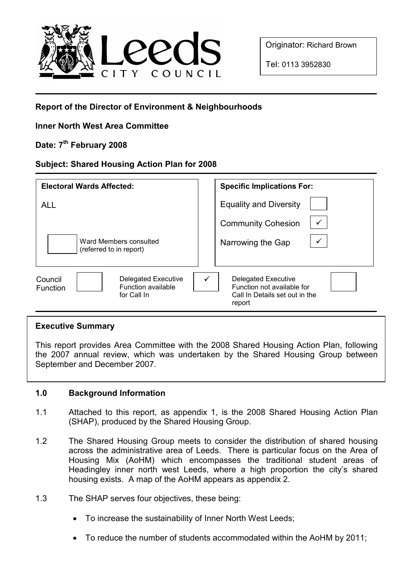

Originator: Richard Brown

Tel: 0113 3952830

# Report of the Director of Environment & Neighbourhoods

## Inner North West Area Committee

## Date: 7<sup>th</sup> February 2008

### Subject: Shared Housing Action Plan for 2008

| <b>Electoral Wards Affected:</b>                                                | <b>Specific Implications For:</b>                                                                    |
|---------------------------------------------------------------------------------|------------------------------------------------------------------------------------------------------|
| <b>ALL</b>                                                                      | <b>Equality and Diversity</b>                                                                        |
|                                                                                 | <b>Community Cohesion</b>                                                                            |
| Ward Members consulted<br>(referred to in report)                               | Narrowing the Gap                                                                                    |
| Delegated Executive<br>Council<br>Function available<br>Function<br>for Call In | <b>Delegated Executive</b><br>Function not available for<br>Call In Details set out in the<br>report |

#### Executive Summary

This report provides Area Committee with the 2008 Shared Housing Action Plan, following the 2007 annual review, which was undertaken by the Shared Housing Group between September and December 2007.

#### 1.0 Background Information

- 1.1 Attached to this report, as appendix 1, is the 2008 Shared Housing Action Plan (SHAP), produced by the Shared Housing Group.
- 1.2 The Shared Housing Group meets to consider the distribution of shared housing across the administrative area of Leeds. There is particular focus on the Area of Housing Mix (AoHM) which encompasses the traditional student areas of Headingley inner north west Leeds, where a high proportion the city's shared housing exists. A map of the AoHM appears as appendix 2.
- 1.3 The SHAP serves four objectives, these being:
	- To increase the sustainability of Inner North West Leeds;
	- To reduce the number of students accommodated within the AoHM by 2011;